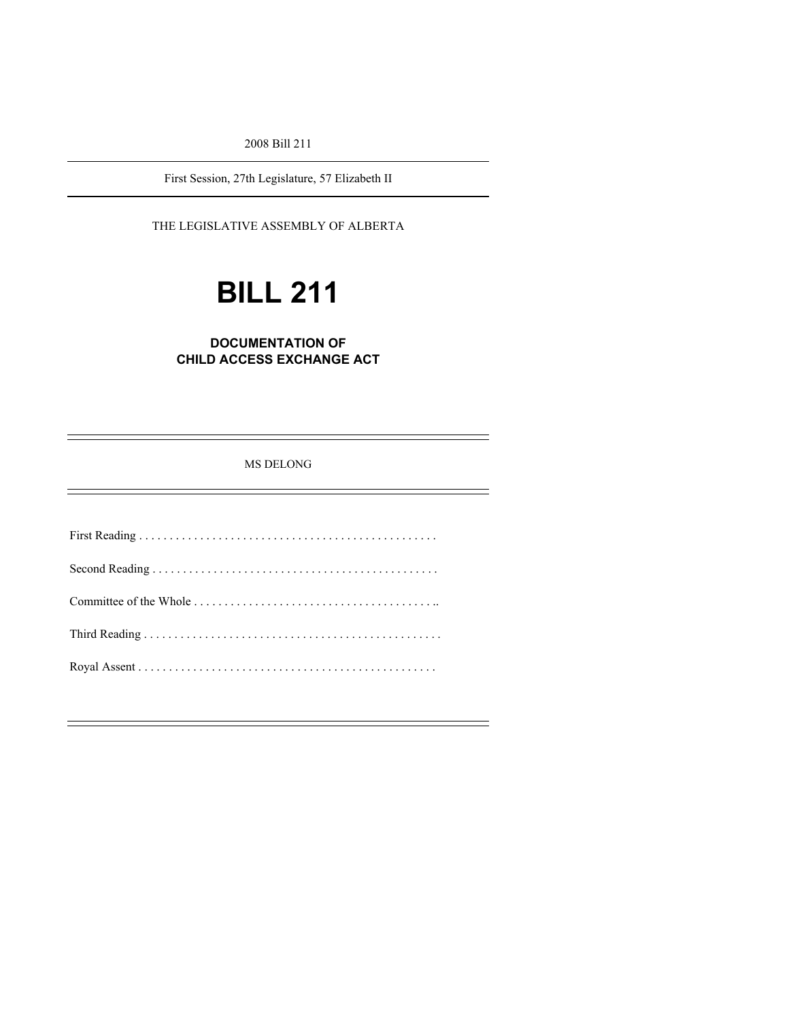2008 Bill 211

First Session, 27th Legislature, 57 Elizabeth II

### THE LEGISLATIVE ASSEMBLY OF ALBERTA

# **BILL 211**

## **DOCUMENTATION OF CHILD ACCESS EXCHANGE ACT**

MS DELONG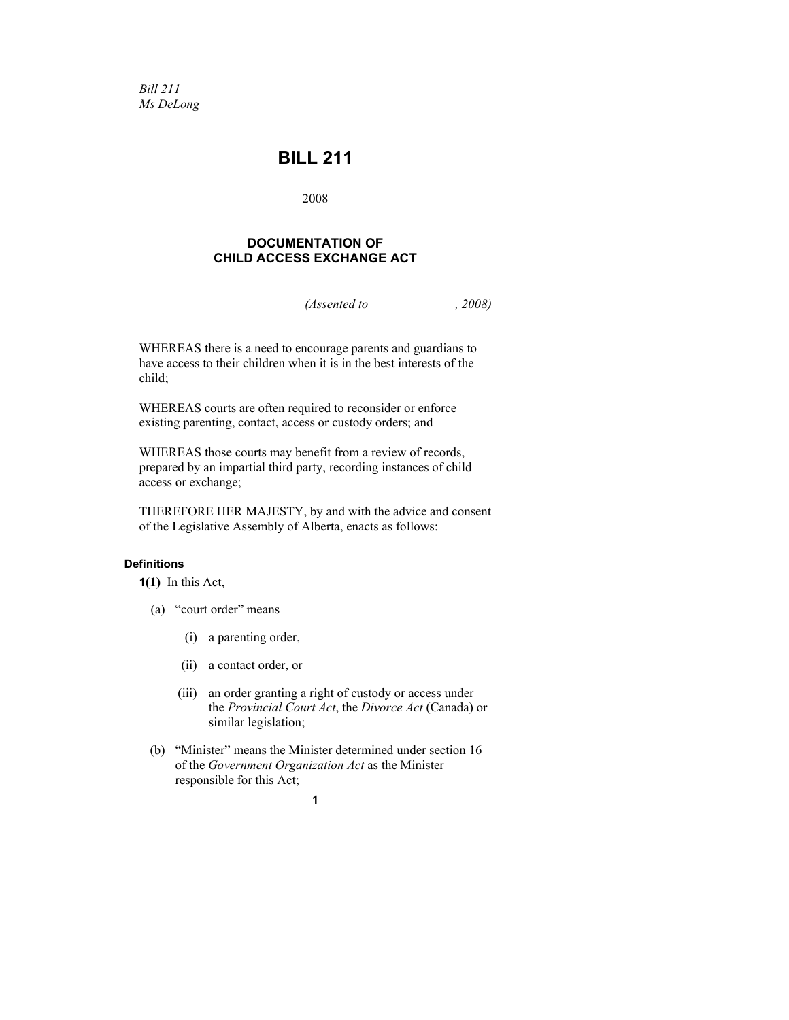*Bill 211 Ms DeLong* 

# **BILL 211**

2008

#### **DOCUMENTATION OF CHILD ACCESS EXCHANGE ACT**

*(Assented to , 2008)* 

WHEREAS there is a need to encourage parents and guardians to have access to their children when it is in the best interests of the child;

WHEREAS courts are often required to reconsider or enforce existing parenting, contact, access or custody orders; and

WHEREAS those courts may benefit from a review of records, prepared by an impartial third party, recording instances of child access or exchange;

THEREFORE HER MAJESTY, by and with the advice and consent of the Legislative Assembly of Alberta, enacts as follows:

#### **Definitions**

**1(1)** In this Act,

- (a) "court order" means
	- (i) a parenting order,
	- (ii) a contact order, or
	- (iii) an order granting a right of custody or access under the *Provincial Court Act*, the *Divorce Act* (Canada) or similar legislation;
- (b) "Minister" means the Minister determined under section 16 of the *Government Organization Act* as the Minister responsible for this Act;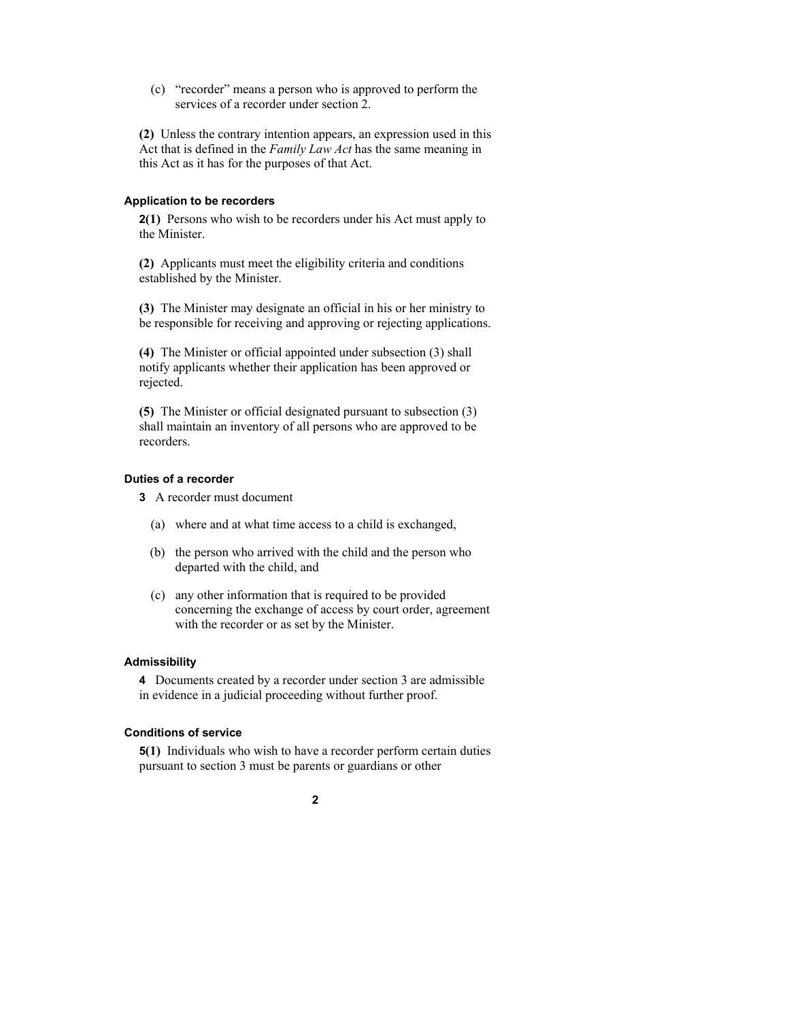(c) "recorder" means a person who is approved to perform the services of a recorder under section 2.

**(2)** Unless the contrary intention appears, an expression used in this Act that is defined in the *Family Law Act* has the same meaning in this Act as it has for the purposes of that Act.

#### **Application to be recorders**

**2(1)** Persons who wish to be recorders under his Act must apply to the Minister.

**(2)** Applicants must meet the eligibility criteria and conditions established by the Minister.

**(3)** The Minister may designate an official in his or her ministry to be responsible for receiving and approving or rejecting applications.

**(4)** The Minister or official appointed under subsection (3) shall notify applicants whether their application has been approved or rejected.

**(5)** The Minister or official designated pursuant to subsection (3) shall maintain an inventory of all persons who are approved to be recorders.

#### **Duties of a recorder**

- **3** A recorder must document
	- (a) where and at what time access to a child is exchanged,
	- (b) the person who arrived with the child and the person who departed with the child, and
	- (c) any other information that is required to be provided concerning the exchange of access by court order, agreement with the recorder or as set by the Minister.

#### **Admissibility**

**4** Documents created by a recorder under section 3 are admissible in evidence in a judicial proceeding without further proof.

#### **Conditions of service**

**5(1)** Individuals who wish to have a recorder perform certain duties pursuant to section 3 must be parents or guardians or other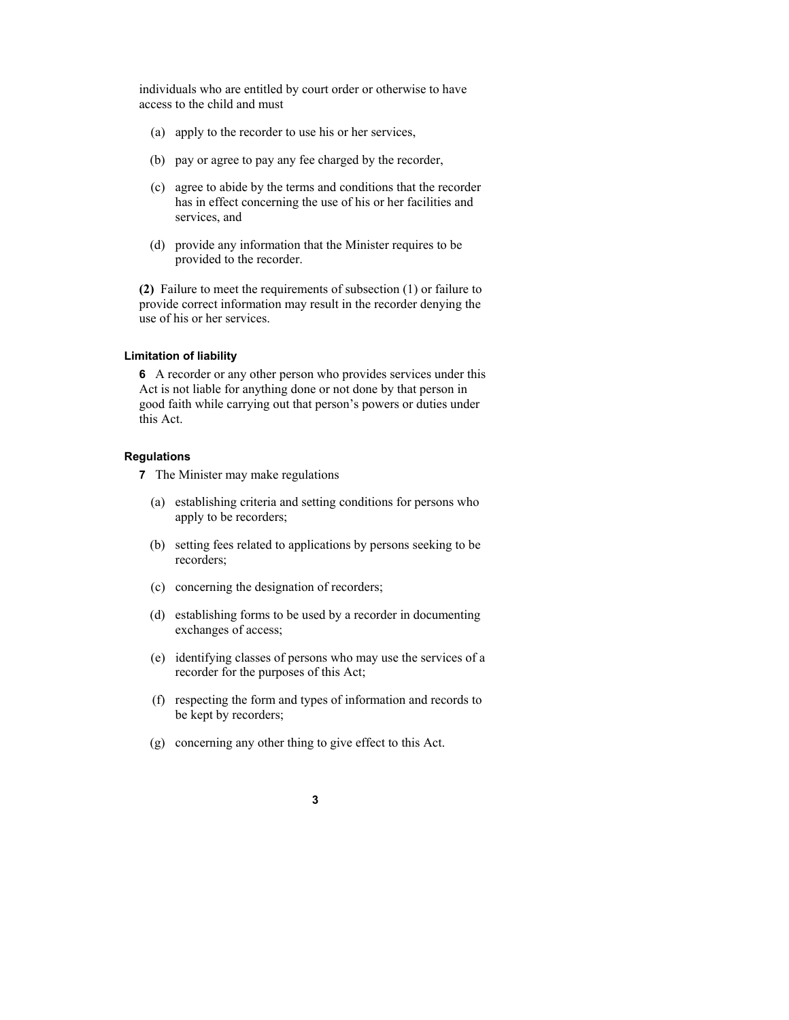individuals who are entitled by court order or otherwise to have access to the child and must

- (a) apply to the recorder to use his or her services,
- (b) pay or agree to pay any fee charged by the recorder,
- (c) agree to abide by the terms and conditions that the recorder has in effect concerning the use of his or her facilities and services, and
- (d) provide any information that the Minister requires to be provided to the recorder.

**(2)** Failure to meet the requirements of subsection (1) or failure to provide correct information may result in the recorder denying the use of his or her services.

#### **Limitation of liability**

**6** A recorder or any other person who provides services under this Act is not liable for anything done or not done by that person in good faith while carrying out that person's powers or duties under this Act.

#### **Regulations**

**7** The Minister may make regulations

- (a) establishing criteria and setting conditions for persons who apply to be recorders;
- (b) setting fees related to applications by persons seeking to be recorders;
- (c) concerning the designation of recorders;
- (d) establishing forms to be used by a recorder in documenting exchanges of access;
- (e) identifying classes of persons who may use the services of a recorder for the purposes of this Act;
- (f) respecting the form and types of information and records to be kept by recorders;
- (g) concerning any other thing to give effect to this Act.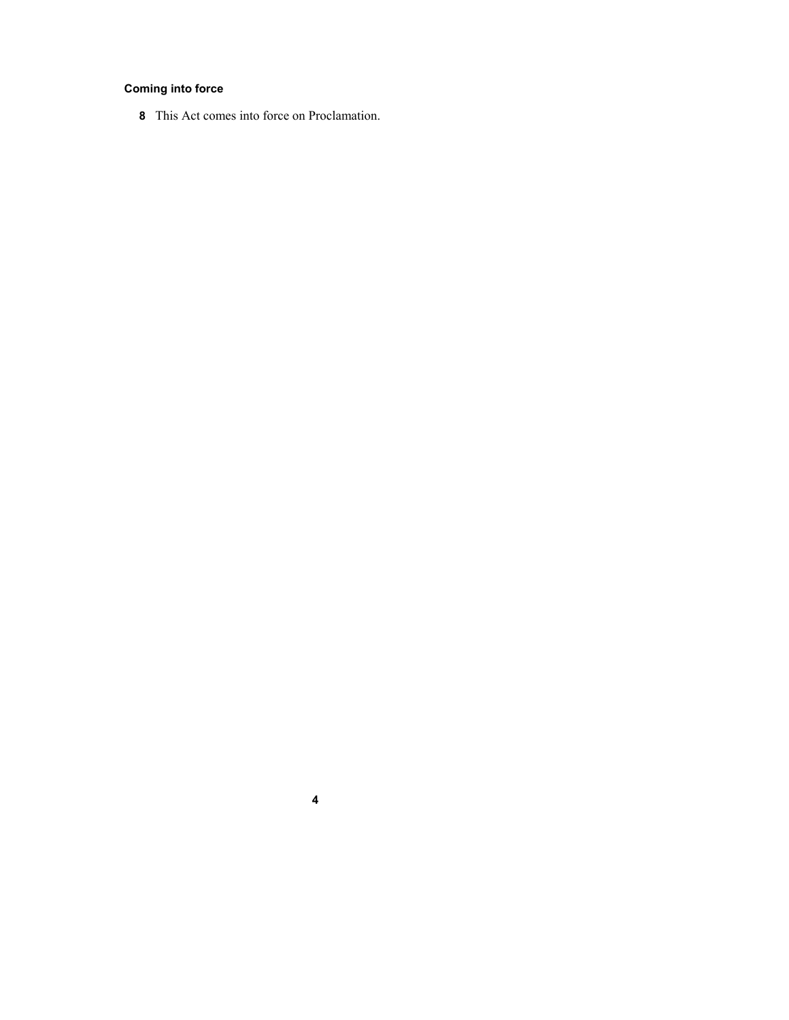## **Coming into force**

This Act comes into force on Proclamation.